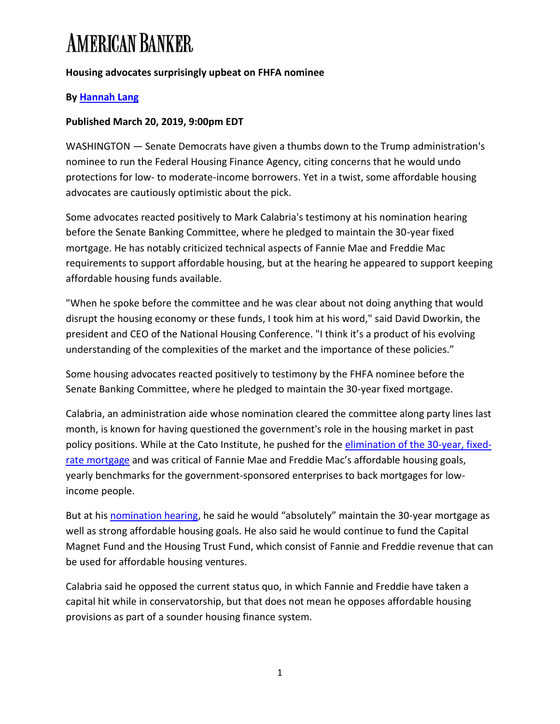#### **Housing advocates surprisingly upbeat on FHFA nominee**

#### **By [Hannah Lang](https://www.americanbanker.com/author/hannah-lang)**

#### **Published March 20, 2019, 9:00pm EDT**

WASHINGTON — Senate Democrats have given a thumbs down to the Trump administration's nominee to run the Federal Housing Finance Agency, citing concerns that he would undo protections for low- to moderate-income borrowers. Yet in a twist, some affordable housing advocates are cautiously optimistic about the pick.

Some advocates reacted positively to Mark Calabria's testimony at his nomination hearing before the Senate Banking Committee, where he pledged to maintain the 30-year fixed mortgage. He has notably criticized technical aspects of Fannie Mae and Freddie Mac requirements to support affordable housing, but at the hearing he appeared to support keeping affordable housing funds available.

"When he spoke before the committee and he was clear about not doing anything that would disrupt the housing economy or these funds, I took him at his word," said David Dworkin, the president and CEO of the National Housing Conference. "I think it's a product of his evolving understanding of the complexities of the market and the importance of these policies."

Some housing advocates reacted positively to testimony by the FHFA nominee before the Senate Banking Committee, where he pledged to maintain the 30-year fixed mortgage.

Calabria, an administration aide whose nomination cleared the committee along party lines last month, is known for having questioned the government's role in the housing market in past policy positions. While at the Cato Institute, he pushed for the [elimination of the 30-year, fixed](https://www.cato.org/publications/commentary/housing-market-will-be-fine-without-30year-fixed-loans)[rate mortgage](https://www.cato.org/publications/commentary/housing-market-will-be-fine-without-30year-fixed-loans) and was critical of Fannie Mae and Freddie Mac's affordable housing goals, yearly benchmarks for the government-sponsored enterprises to back mortgages for lowincome people.

But at his [nomination hearing](https://www.americanbanker.com/news/reform-of-fannie-freddie-should-fall-to-congress-fhfa-nominee), he said he would "absolutely" maintain the 30-year mortgage as well as strong affordable housing goals. He also said he would continue to fund the Capital Magnet Fund and the Housing Trust Fund, which consist of Fannie and Freddie revenue that can be used for affordable housing ventures.

Calabria said he opposed the current status quo, in which Fannie and Freddie have taken a capital hit while in conservatorship, but that does not mean he opposes affordable housing provisions as part of a sounder housing finance system.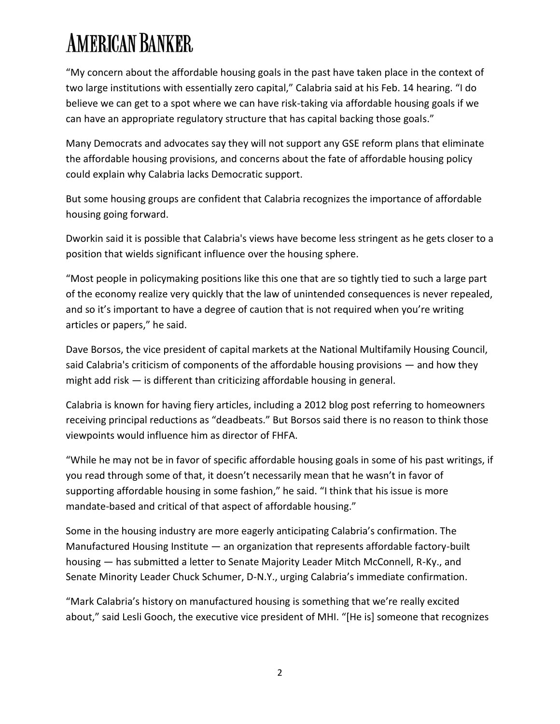"My concern about the affordable housing goals in the past have taken place in the context of two large institutions with essentially zero capital," Calabria said at his Feb. 14 hearing. "I do believe we can get to a spot where we can have risk-taking via affordable housing goals if we can have an appropriate regulatory structure that has capital backing those goals."

Many Democrats and advocates say they will not support any GSE reform plans that eliminate the affordable housing provisions, and concerns about the fate of affordable housing policy could explain why Calabria lacks Democratic support.

But some housing groups are confident that Calabria recognizes the importance of affordable housing going forward.

Dworkin said it is possible that Calabria's views have become less stringent as he gets closer to a position that wields significant influence over the housing sphere.

"Most people in policymaking positions like this one that are so tightly tied to such a large part of the economy realize very quickly that the law of unintended consequences is never repealed, and so it's important to have a degree of caution that is not required when you're writing articles or papers," he said.

Dave Borsos, the vice president of capital markets at the National Multifamily Housing Council, said Calabria's criticism of components of the affordable housing provisions — and how they might add risk — is different than criticizing affordable housing in general.

Calabria is known for having fiery articles, including a 2012 blog post referring to homeowners receiving principal reductions as "deadbeats." But Borsos said there is no reason to think those viewpoints would influence him as director of FHFA.

"While he may not be in favor of specific affordable housing goals in some of his past writings, if you read through some of that, it doesn't necessarily mean that he wasn't in favor of supporting affordable housing in some fashion," he said. "I think that his issue is more mandate-based and critical of that aspect of affordable housing."

Some in the housing industry are more eagerly anticipating Calabria's confirmation. The Manufactured Housing Institute — an organization that represents affordable factory-built housing — has submitted a letter to Senate Majority Leader Mitch McConnell, R-Ky., and Senate Minority Leader Chuck Schumer, D-N.Y., urging Calabria's immediate confirmation.

"Mark Calabria's history on manufactured housing is something that we're really excited about," said Lesli Gooch, the executive vice president of MHI. "[He is] someone that recognizes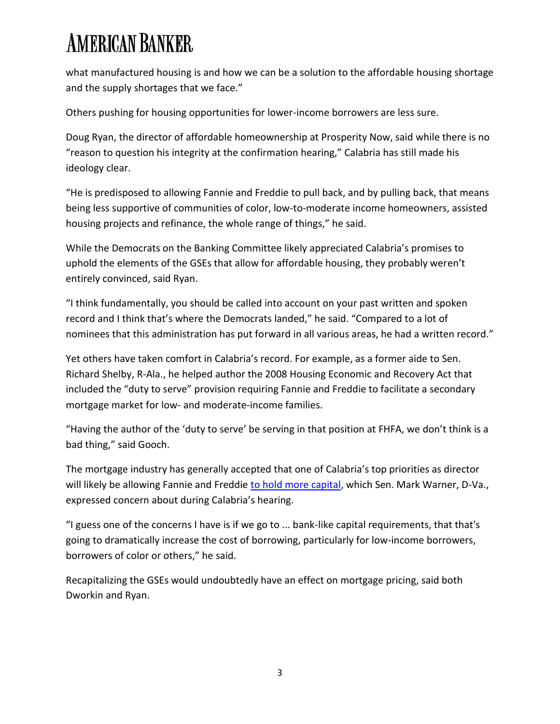what manufactured housing is and how we can be a solution to the affordable housing shortage and the supply shortages that we face."

Others pushing for housing opportunities for lower-income borrowers are less sure.

Doug Ryan, the director of affordable homeownership at Prosperity Now, said while there is no "reason to question his integrity at the confirmation hearing," Calabria has still made his ideology clear.

"He is predisposed to allowing Fannie and Freddie to pull back, and by pulling back, that means being less supportive of communities of color, low-to-moderate income homeowners, assisted housing projects and refinance, the whole range of things," he said.

While the Democrats on the Banking Committee likely appreciated Calabria's promises to uphold the elements of the GSEs that allow for affordable housing, they probably weren't entirely convinced, said Ryan.

"I think fundamentally, you should be called into account on your past written and spoken record and I think that's where the Democrats landed," he said. "Compared to a lot of nominees that this administration has put forward in all various areas, he had a written record."

Yet others have taken comfort in Calabria's record. For example, as a former aide to Sen. Richard Shelby, R-Ala., he helped author the 2008 Housing Economic and Recovery Act that included the "duty to serve" provision requiring Fannie and Freddie to facilitate a secondary mortgage market for low- and moderate-income families.

"Having the author of the 'duty to serve' be serving in that position at FHFA, we don't think is a bad thing," said Gooch.

The mortgage industry has generally accepted that one of Calabria's top priorities as director will likely be allowing Fannie and Freddie [to hold more capital,](https://www.americanbanker.com/news/fhfa-chief-to-bes-top-priority-more-capital-for-fannie-freddie) which Sen. Mark Warner, D-Va., expressed concern about during Calabria's hearing.

"I guess one of the concerns I have is if we go to ... bank-like capital requirements, that that's going to dramatically increase the cost of borrowing, particularly for low-income borrowers, borrowers of color or others," he said.

Recapitalizing the GSEs would undoubtedly have an effect on mortgage pricing, said both Dworkin and Ryan.